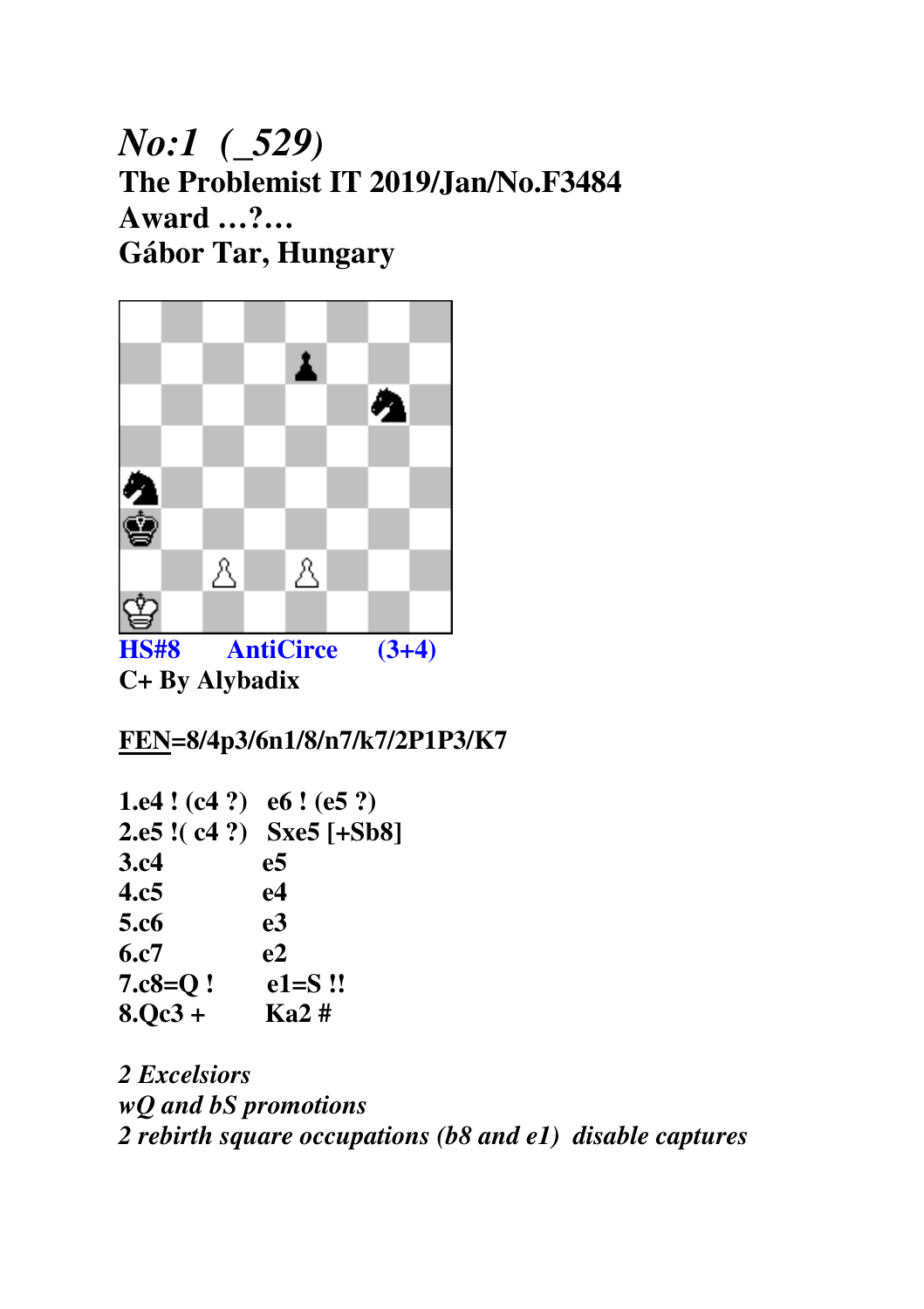# *No:1 (\_529)* **The Problemist IT 2019/Jan/No.F3484 Award …?… Gábor Tar, Hungary**



**C+ By Alybadix** 

**FEN=8/4p3/6n1/8/n7/k7/2P1P3/K7** 

| 1.e4 ! $(c4 ?)$ e6 ! $(e5 ?)$ |                           |
|-------------------------------|---------------------------|
|                               | 2.e5 !( c4 ?) Sxe5 [+Sb8] |
| 3.c4                          | e5                        |
| 4.c5                          | e4                        |
| 5.c6                          | e <sub>3</sub>            |
| 6.c7                          | e2                        |
| $7.c8=Q$ !                    | $e1 = S$ !!               |
| $8.0c3+$                      | Ka2#                      |

*2 Excelsiors wQ and bS promotions 2 rebirth square occupations (b8 and e1) disable captures*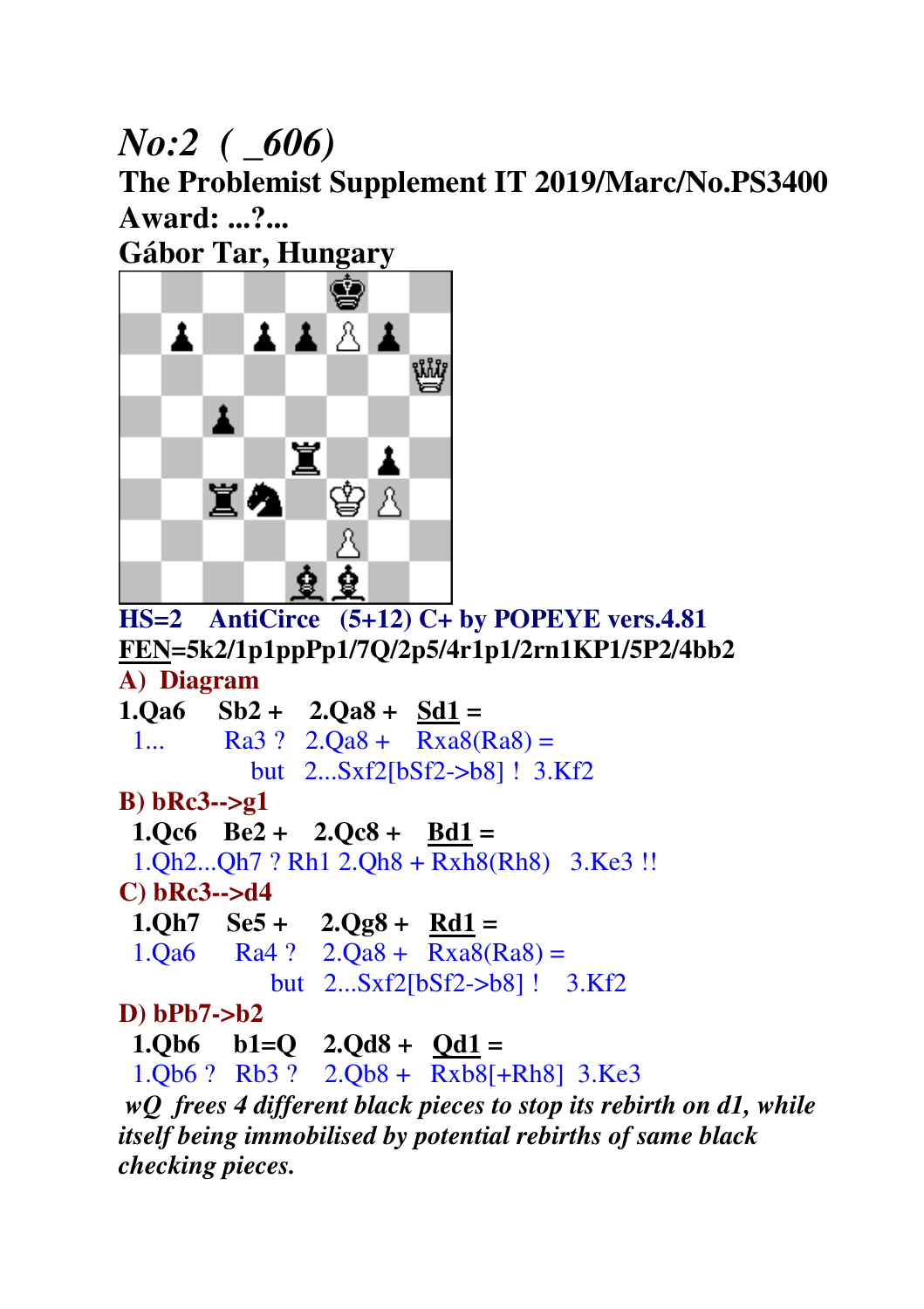# *No:2 ( \_606)*

**The Problemist Supplement IT 2019/Marc/No.PS3400 Award: ...?...** 

**Gábor Tar, Hungary** 



**HS=2 AntiCirce (5+12) C+ by POPEYE vers.4.81 FEN=5k2/1p1ppPp1/7Q/2p5/4r1p1/2rn1KP1/5P2/4bb2 A) Diagram** 

**1.Qa6 Sb2 + 2.Qa8 + Sd1 =**  1... Ra3 ?  $2.0a8 + Rxa8(Ra8) =$  but 2...Sxf2[bSf2->b8] ! 3.Kf2 **B) bRc3-->g1 1.Qc6 Be2 + 2.Qc8 + Bd1 =**  1.Qh2...Qh7 ? Rh1 2.Qh8 + Rxh8(Rh8) 3.Ke3 !! **C) bRc3-->d4 1.Qh7 Se5 + 2.Qg8 + Rd1 =**   $1.Qa6$  Ra4 ?  $2.Qa8 + Rxa8(Ra8) =$  but 2...Sxf2[bSf2->b8] ! 3.Kf2 **D) bPb7->b2 1.Qb6 b1=Q 2.Qd8 + Qd1 =** 1.Qb6 ? Rb3 ? 2.Qb8 + Rxb8[+Rh8] 3.Ke3

*wQ frees 4 different black pieces to stop its rebirth on d1, while itself being immobilised by potential rebirths of same black checking pieces.*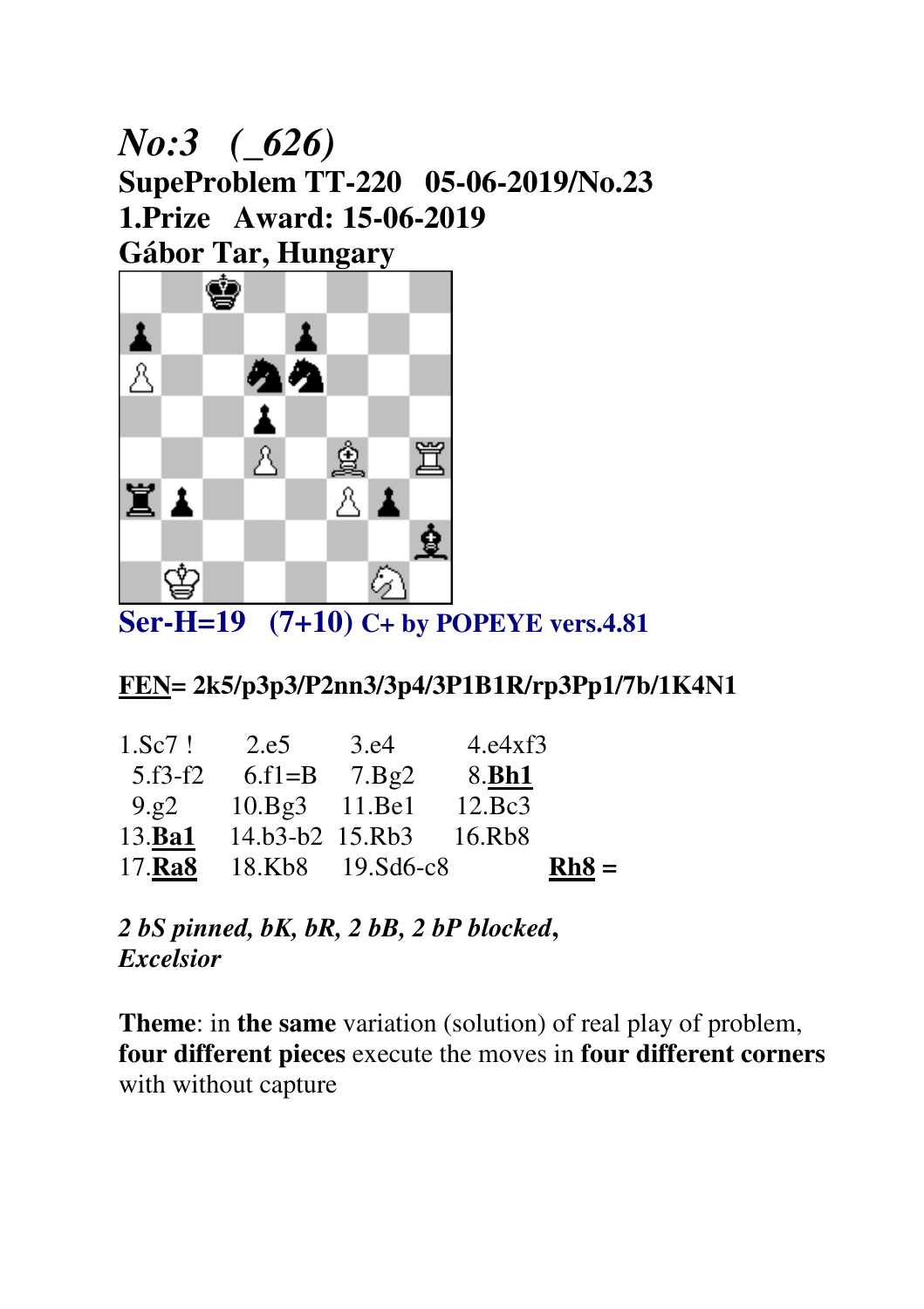# *No:3 (\_626)*  **SupeProblem TT-220 05-06-2019/No.23 1.Prize Award: 15-06-2019 Gábor Tar, Hungary**



**Ser-H=19 (7+10) C+ by POPEYE vers.4.81** 

#### **FEN= 2k5/p3p3/P2nn3/3p4/3P1B1R/rp3Pp1/7b/1K4N1**

| 1.Sc7!    | 2.e5                    | 3.e4 | 4. e4xf3               |         |
|-----------|-------------------------|------|------------------------|---------|
| $5.f3-f2$ | 6.f1=B $7.Bg2$          |      | 8. <b>Bh1</b>          |         |
| 9.g2      | $10.Bg3$ 11.Be1         |      | 12.Bc3                 |         |
| 13.Ba1    |                         |      | 14.b3-b2 15.Rb3 16.Rb8 |         |
|           | 17.Ra8 18.Kb8 19.Sd6-c8 |      |                        | $Rh8 =$ |

*2 bS pinned, bK, bR, 2 bB, 2 bP blocked***,**  *Excelsior* 

**Theme**: in **the same** variation (solution) of real play of problem, **four different pieces** execute the moves in **four different corners**  with without capture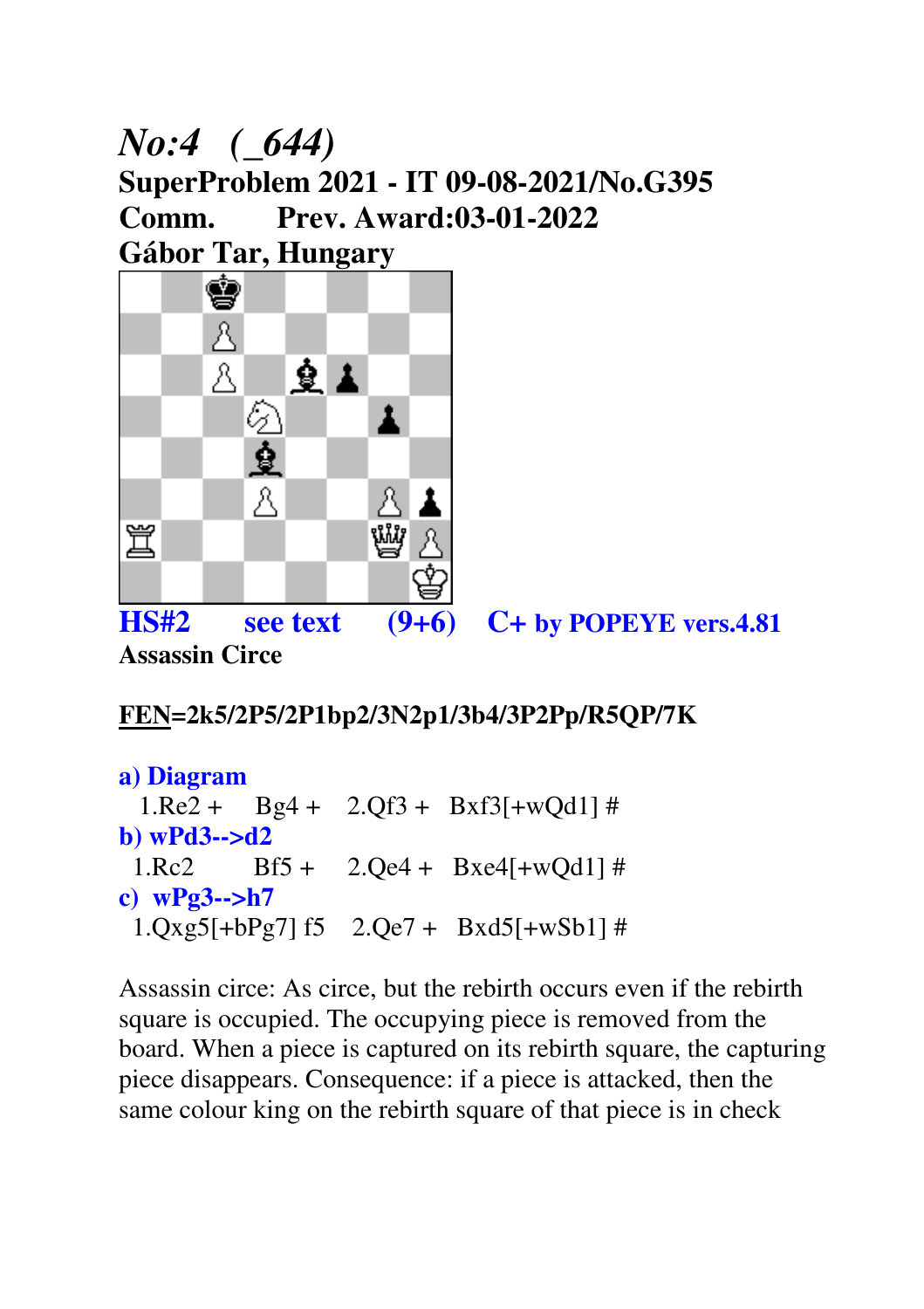## *No:4 (\_644)*  **SuperProblem 2021 - IT 09-08-2021/No.G395 Comm. Prev. Award:03-01-2022 Gábor Tar, Hungary**



**HS#2 see text (9+6) C+ by POPEYE vers.4.81 Assassin Circe** 

#### **FEN=2k5/2P5/2P1bp2/3N2p1/3b4/3P2Pp/R5QP/7K**

```
a) Diagram 
 1.Re2 + Bg4 + 2.Qf3 + Bxf3[+wQd1] #
b) wPd3-->d2 
 1.Rc2 Bf5 + 2.Qe4 + Bxe4[+wQd1] #
c) wPg3-->h7 
  1.Qxg5[+bPg7] f5 2.Qe7 + Bxd5[+wSb1] #
```
Assassin circe: As circe, but the rebirth occurs even if the rebirth square is occupied. The occupying piece is removed from the board. When a piece is captured on its rebirth square, the capturing piece disappears. Consequence: if a piece is attacked, then the same colour king on the rebirth square of that piece is in check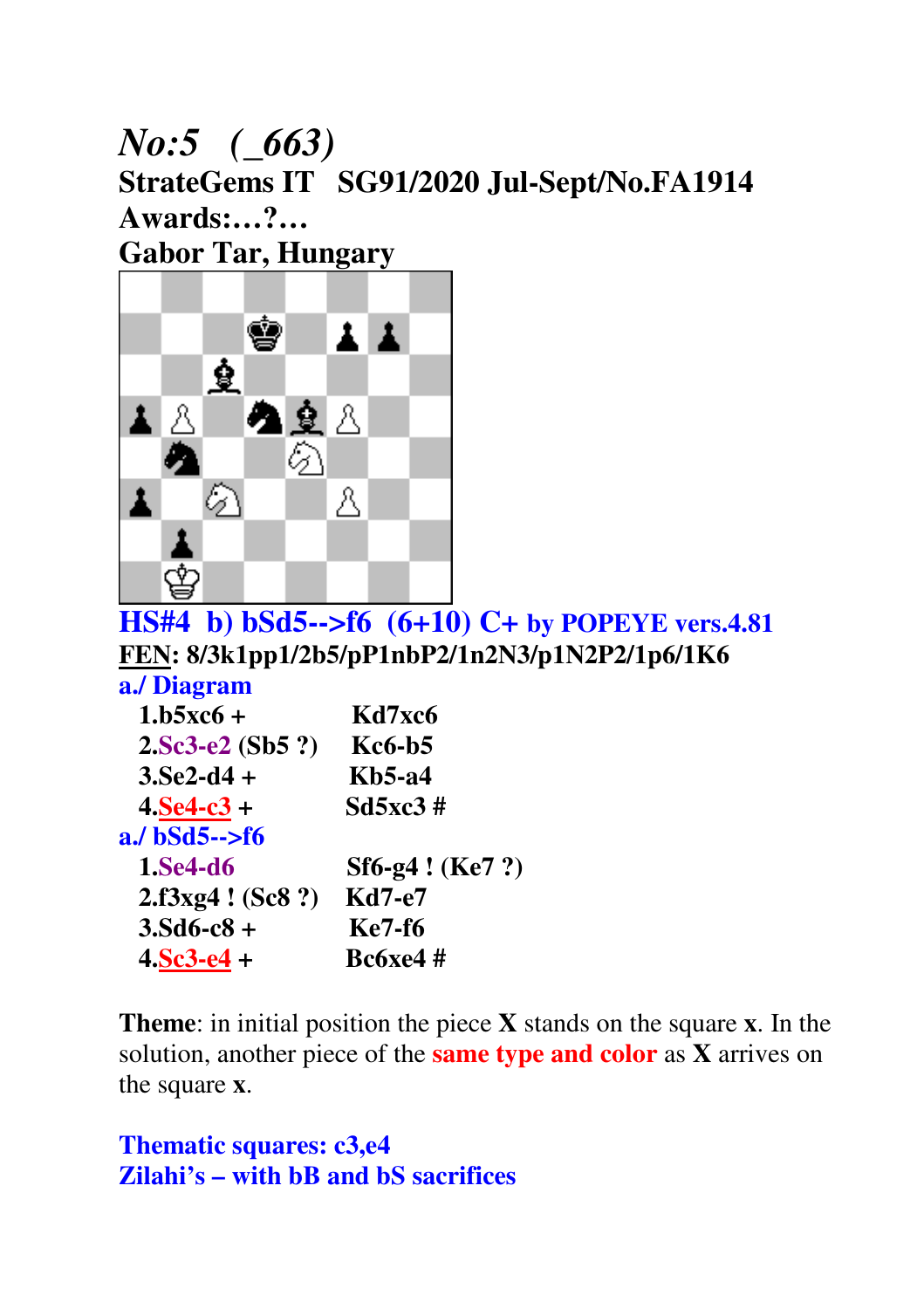## *No:5 (\_663)*  **StrateGems IT SG91/2020 Jul-Sept/No.FA1914 Awards:…?… Gabor Tar, Hungary**



**HS#4 b) bSd5-->f6 (6+10) C+ by POPEYE vers.4.81 FEN: 8/3k1pp1/2b5/pP1nbP2/1n2N3/p1N2P2/1p6/1K6**

**a./ Diagram** 

| $1.b5xc6 +$       | Kd7xc6           |
|-------------------|------------------|
| $2.Sc3-e2(Sb5?)$  | <b>Kc6-b5</b>    |
| $3.5e2-d4 +$      | <b>Kb5-a4</b>    |
| $4. Se4-c3 +$     | Sd5xc3#          |
| $a$ ./ bSd5-->f6  |                  |
| 1.Se4-d6          | Sf6-g4 ! (Ke7 ?) |
| 2.f3xg4 ! (Sc8 ?) | <b>Kd7-e7</b>    |
| $3.5d6-c8 +$      | <b>Ke7-f6</b>    |
| $4.5c3-e4 +$      | <b>Bc6xe4</b> #  |
|                   |                  |

**Theme**: in initial position the piece **X** stands on the square **x**. In the solution, another piece of the **same type and color** as **X** arrives on the square **x**.

```
Thematic squares: c3,e4 
Zilahi's – with bB and bS sacrifices
```